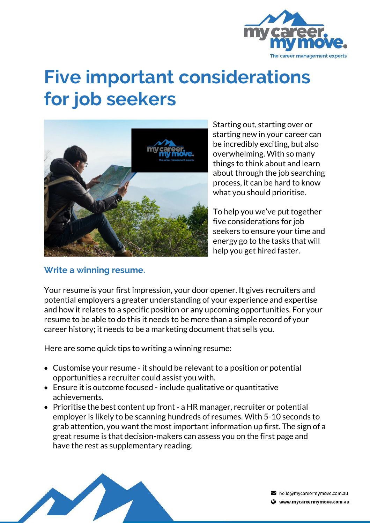

# **Five important considerations for job seekers**



Starting out, starting over or starting new in your career can be incredibly exciting, but also overwhelming. With so many things to think about and learn about through the job searching process, it can be hard to know what you should prioritise.

To help you we've put together five considerations for job seekers to ensure your time and energy go to the tasks that will help you get hired faster.

#### **Write a winning resume.**

Your resume is your first impression, your door opener. It gives recruiters and potential employers a greater understanding of your experience and expertise and how it relates to a specific position or any upcoming opportunities. For your resume to be able to do this it needs to be more than a simple record of your career history; it needs to be a marketing document that sells you.

Here are some quick tips to writing a winning resume:

- Customise your resume it should be relevant to a position or potential opportunities a recruiter could assist you with.
- Ensure it is outcome focused include qualitative or quantitative achievements.
- Prioritise the best content up front a HR manager, recruiter or potential employer is likely to be scanning hundreds of resumes. With 5-10 seconds to grab attention, you want the most important information up first. The sign of a great resume is that decision-makers can assess you on the first page and have the rest as supplementary reading.



hello@mycareermymove.com.au Www.mycareermymove.com.au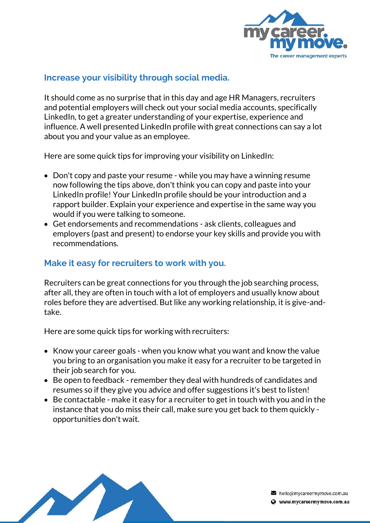

### **Increase your visibility through social media.**

It should come as no surprise that in this day and age HR Managers, recruiters and potential employers will check out your social media accounts, specifically LinkedIn, to get a greater understanding of your expertise, experience and influence. A well presented LinkedIn profile with great connections can say a lot about you and your value as an employee.

Here are some quick tips for improving your visibility on LinkedIn:

- Don't copy and paste your resume while you may have a winning resume now following the tips above, don't think you can copy and paste into your LinkedIn profile! Your LinkedIn profile should be your introduction and a rapport builder. Explain your experience and expertise in the same way you would if you were talking to someone.
- Get endorsements and recommendations ask clients, colleagues and employers (past and present) to endorse your key skills and provide you with recommendations.

### **Make it easy for recruiters to work with you.**

Recruiters can be great connections for you through the job searching process, after all, they are often in touch with a lot of employers and usually know about roles before they are advertised. But like any working relationship, it is give-andtake.

Here are some quick tips for working with recruiters:

- Know your career goals when you know what you want and know the value you bring to an organisation you make it easy for a recruiter to be targeted in their job search for you.
- Be open to feedback remember they deal with hundreds of candidates and resumes so if they give you advice and offer suggestions it's best to listen!
- Be contactable make it easy for a recruiter to get in touch with you and in the instance that you do miss their call, make sure you get back to them quickly opportunities don't wait.



hello@mycareermymove.com.au Www.mycareermymove.com.au